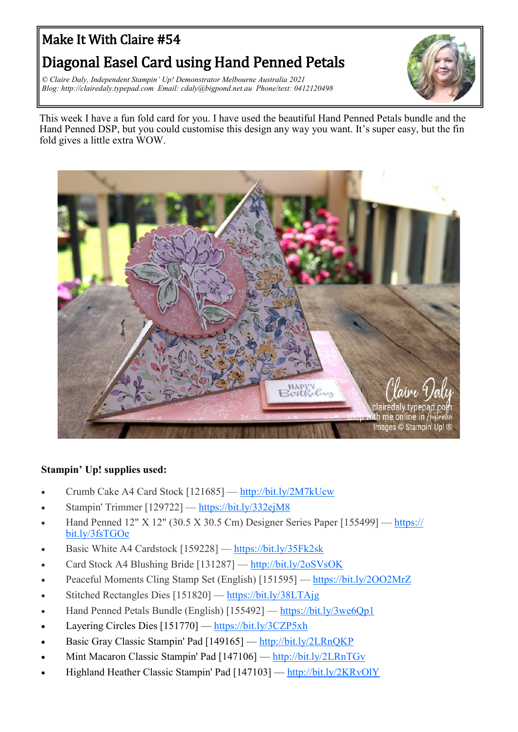## Make It With Claire #54

## Diagonal Easel Card using Hand Penned Petals

*© Claire Daly, Independent Stampin' Up! Demonstrator Melbourne Australia 2021 Blog: http://clairedaly.typepad.com Email: cdaly@bigpond.net.au Phone/text: 0412120498*



This week I have a fun fold card for you. I have used the beautiful Hand Penned Petals bundle and the Hand Penned DSP, but you could customise this design any way you want. It's super easy, but the fin fold gives a little extra WOW.



## **Stampin' Up! supplies used:**

- Crumb Cake A4 Card Stock [121685] –– <http://bit.ly/2M7kUcw>
- Stampin' Trimmer [129722] –– <https://bit.ly/332ejM8>
- Hand Penned 12" X 12" (30.5 X 30.5 Cm) Designer Series Paper [155499] –– [https://](https://bit.ly/332ejM8) [bit.ly/3fsTGOe](https://bit.ly/332ejM8)
- Basic White A4 Cardstock [159228] [https://bit.ly/35Fk2sk](https://bit.ly/332ejM8)
- Card Stock A4 Blushing Bride [131287] –– [http://bit.ly/2oSVsOK](https://bit.ly/332ejM8)
- Peaceful Moments Cling Stamp Set (English) [151595] [https://bit.ly/2OO2MrZ](https://bit.ly/332ejM8)
- Stitched Rectangles Dies [151820] –– [https://bit.ly/38LTAjg](https://bit.ly/332ejM8)
- Hand Penned Petals Bundle (English) [155492] –– [https://bit.ly/3we6Qp1](https://bit.ly/332ejM8)
- Layering Circles Dies [151770] –– [https://bit.ly/3CZP5xh](https://bit.ly/332ejM8)
- Basic Gray Classic Stampin' Pad [149165] –– [http://bit.ly/2LRnQKP](https://bit.ly/332ejM8)
- Mint Macaron Classic Stampin' Pad [147106] [http://bit.ly/2LRnTGv](https://bit.ly/332ejM8)
- Highland Heather Classic Stampin' Pad [147103] –– [http://bit.ly/2KRvOlY](https://bit.ly/332ejM8)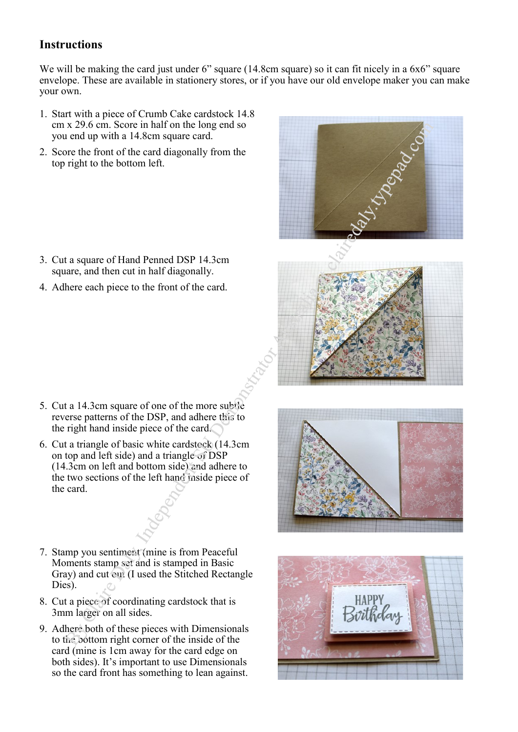## **Instructions**

We will be making the card just under 6" square (14.8cm square) so it can fit nicely in a 6x6" square envelope. These are available in stationery stores, or if you have our old envelope maker you can make your own.

- 1. Start with a piece of Crumb Cake cardstock 14.8 cm x 29.6 cm. Score in half on the long end so you end up with a 14.8cm square card.
- 2. Score the front of the card diagonally from the top right to the bottom left.

- 3. Cut a square of Hand Penned DSP 14.3cm square, and then cut in half diagonally.
- 4. Adhere each piece to the front of the card.



- 5. Cut a 14.3cm square of one of the more subtle reverse patterns of the DSP, and adhere this to the right hand inside piece of the card.
- 6. Cut a triangle of basic white cardstock (14.3cm on top and left side) and a triangle of DSP (14.3cm on left and bottom side) and adhere to the two sections of the left hand inside piece of the card.
- 7. Stamp you sentiment (mine is from Peaceful Moments stamp set and is stamped in Basic Gray) and cut out (I used the Stitched Rectangle Dies).
- 8. Cut a piece of coordinating cardstock that is 3mm larger on all sides.
- 9. Adhere both of these pieces with Dimensionals to the bottom right corner of the inside of the card (mine is 1cm away for the card edge on both sides). It's important to use Dimensionals so the card front has something to lean against.